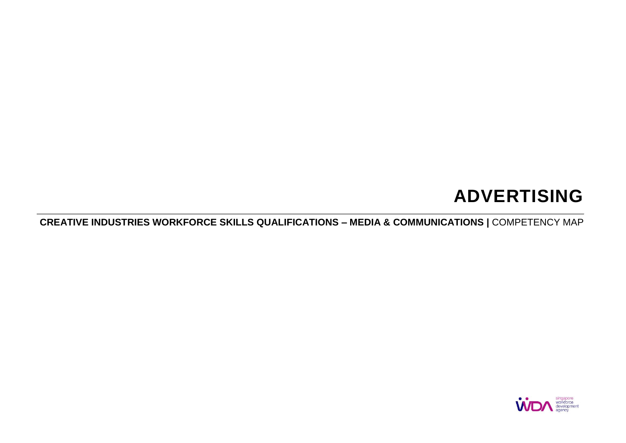# **ADVERTISING**

**CREATIVE INDUSTRIES WORKFORCE SKILLS QUALIFICATIONS – MEDIA & COMMUNICATIONS |** COMPETENCY MAP

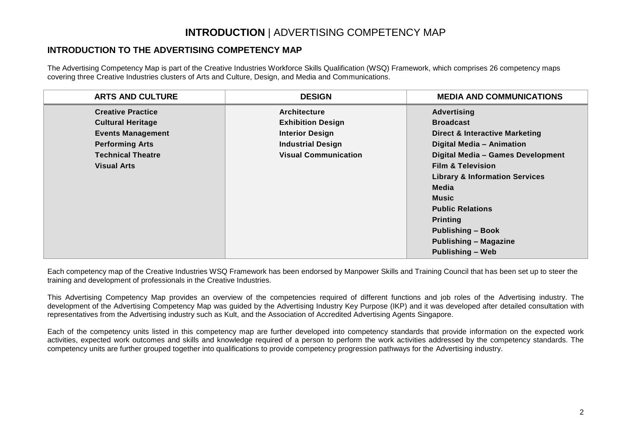## **INTRODUCTION** | ADVERTISING COMPETENCY MAP

### **INTRODUCTION TO THE ADVERTISING COMPETENCY MAP**

The Advertising Competency Map is part of the Creative Industries Workforce Skills Qualification (WSQ) Framework, which comprises 26 competency maps covering three Creative Industries clusters of Arts and Culture, Design, and Media and Communications.

| <b>ARTS AND CULTURE</b>  | <b>DESIGN</b>               | <b>MEDIA AND COMMUNICATIONS</b>           |
|--------------------------|-----------------------------|-------------------------------------------|
| <b>Creative Practice</b> | <b>Architecture</b>         | <b>Advertising</b>                        |
| <b>Cultural Heritage</b> | <b>Exhibition Design</b>    | <b>Broadcast</b>                          |
| <b>Events Management</b> | <b>Interior Design</b>      | <b>Direct &amp; Interactive Marketing</b> |
| <b>Performing Arts</b>   | <b>Industrial Design</b>    | Digital Media - Animation                 |
| <b>Technical Theatre</b> | <b>Visual Communication</b> | Digital Media - Games Development         |
| <b>Visual Arts</b>       |                             | <b>Film &amp; Television</b>              |
|                          |                             | <b>Library &amp; Information Services</b> |
|                          |                             | Media                                     |
|                          |                             | <b>Music</b>                              |
|                          |                             | <b>Public Relations</b>                   |
|                          |                             | <b>Printing</b>                           |
|                          |                             | <b>Publishing - Book</b>                  |
|                          |                             | <b>Publishing - Magazine</b>              |
|                          |                             | <b>Publishing - Web</b>                   |

Each competency map of the Creative Industries WSQ Framework has been endorsed by Manpower Skills and Training Council that has been set up to steer the training and development of professionals in the Creative Industries.

This Advertising Competency Map provides an overview of the competencies required of different functions and job roles of the Advertising industry. The development of the Advertising Competency Map was guided by the Advertising Industry Key Purpose (IKP) and it was developed after detailed consultation with representatives from the Advertising industry such as Kult, and the Association of Accredited Advertising Agents Singapore.

Each of the competency units listed in this competency map are further developed into competency standards that provide information on the expected work activities, expected work outcomes and skills and knowledge required of a person to perform the work activities addressed by the competency standards. The competency units are further grouped together into qualifications to provide competency progression pathways for the Advertising industry.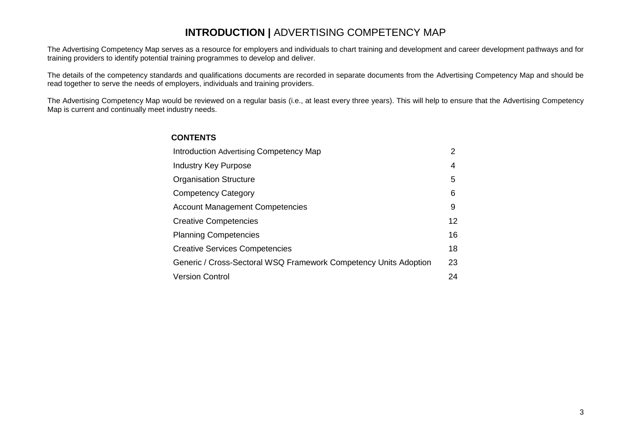### **INTRODUCTION |** ADVERTISING COMPETENCY MAP

The Advertising Competency Map serves as a resource for employers and individuals to chart training and development and career development pathways and for training providers to identify potential training programmes to develop and deliver.

The details of the competency standards and qualifications documents are recorded in separate documents from the Advertising Competency Map and should be read together to serve the needs of employers, individuals and training providers.

The Advertising Competency Map would be reviewed on a regular basis (i.e., at least every three years). This will help to ensure that the Advertising Competency Map is current and continually meet industry needs.

#### **CONTENTS**

| Introduction Advertising Competency Map                          | 2  |
|------------------------------------------------------------------|----|
| Industry Key Purpose                                             | 4  |
| <b>Organisation Structure</b>                                    | 5  |
| <b>Competency Category</b>                                       | 6  |
| <b>Account Management Competencies</b>                           | 9  |
| <b>Creative Competencies</b>                                     | 12 |
| <b>Planning Competencies</b>                                     | 16 |
| <b>Creative Services Competencies</b>                            | 18 |
| Generic / Cross-Sectoral WSQ Framework Competency Units Adoption | 23 |
| <b>Version Control</b>                                           | 24 |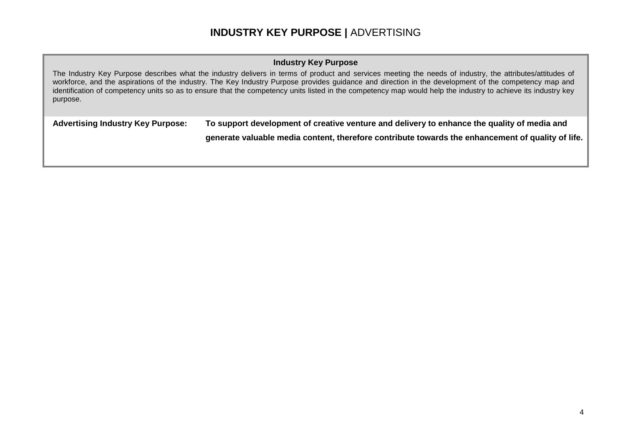## **INDUSTRY KEY PURPOSE |** ADVERTISING

#### **Industry Key Purpose**

The Industry Key Purpose describes what the industry delivers in terms of product and services meeting the needs of industry, the attributes/attitudes of workforce, and the aspirations of the industry. The Key Industry Purpose provides guidance and direction in the development of the competency map and identification of competency units so as to ensure that the competency units listed in the competency map would help the industry to achieve its industry key purpose.

**Advertising Industry Key Purpose: To support development of creative venture and delivery to enhance the quality of media and** 

**generate valuable media content, therefore contribute towards the enhancement of quality of life.**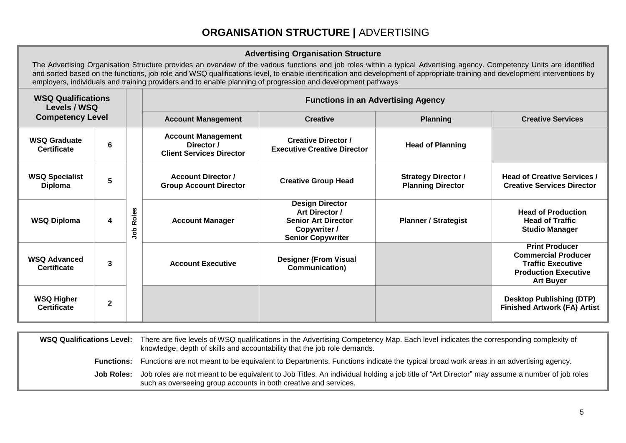## **ORGANISATION STRUCTURE |** ADVERTISING

#### **Advertising Organisation Structure**

The Advertising Organisation Structure provides an overview of the various functions and job roles within a typical Advertising agency. Competency Units are identified and sorted based on the functions, job role and WSQ qualifications level, to enable identification and development of appropriate training and development interventions by employers, individuals and training providers and to enable planning of progression and development pathways.

| <b>WSQ Qualifications</b><br>Levels / WSQ |              |              |                                                                            | <b>Functions in an Advertising Agency</b>                                                                          |                                                        |                                                                                                                                    |  |  |  |
|-------------------------------------------|--------------|--------------|----------------------------------------------------------------------------|--------------------------------------------------------------------------------------------------------------------|--------------------------------------------------------|------------------------------------------------------------------------------------------------------------------------------------|--|--|--|
| <b>Competency Level</b>                   |              |              | <b>Account Management</b>                                                  | <b>Creative</b>                                                                                                    | <b>Planning</b>                                        | <b>Creative Services</b>                                                                                                           |  |  |  |
| <b>WSQ Graduate</b><br><b>Certificate</b> | 6            |              | <b>Account Management</b><br>Director /<br><b>Client Services Director</b> | <b>Creative Director /</b><br><b>Executive Creative Director</b>                                                   | <b>Head of Planning</b>                                |                                                                                                                                    |  |  |  |
| <b>WSQ Specialist</b><br><b>Diploma</b>   | 5            |              | <b>Account Director /</b><br><b>Group Account Director</b>                 | <b>Creative Group Head</b>                                                                                         | <b>Strategy Director /</b><br><b>Planning Director</b> | <b>Head of Creative Services /</b><br><b>Creative Services Director</b>                                                            |  |  |  |
| <b>WSQ Diploma</b>                        | 4            | Roles<br>doL | <b>Account Manager</b>                                                     | <b>Design Director</b><br>Art Director /<br><b>Senior Art Director</b><br>Copywriter /<br><b>Senior Copywriter</b> | <b>Planner / Strategist</b>                            | <b>Head of Production</b><br><b>Head of Traffic</b><br><b>Studio Manager</b>                                                       |  |  |  |
| <b>WSQ Advanced</b><br><b>Certificate</b> | 3            |              | <b>Account Executive</b>                                                   | <b>Designer (From Visual</b><br>Communication)                                                                     |                                                        | <b>Print Producer</b><br><b>Commercial Producer</b><br><b>Traffic Executive</b><br><b>Production Executive</b><br><b>Art Buyer</b> |  |  |  |
| <b>WSQ Higher</b><br><b>Certificate</b>   | $\mathbf{2}$ |              |                                                                            |                                                                                                                    |                                                        | <b>Desktop Publishing (DTP)</b><br><b>Finished Artwork (FA) Artist</b>                                                             |  |  |  |

| <b>WSQ Qualifications Level:</b> | There are five levels of WSQ qualifications in the Advertising Competency Map. Each level indicates the corresponding complexity of<br>knowledge, depth of skills and accountability that the job role demands.  |
|----------------------------------|------------------------------------------------------------------------------------------------------------------------------------------------------------------------------------------------------------------|
| <b>Functions:</b>                | Functions are not meant to be equivalent to Departments. Functions indicate the typical broad work areas in an advertising agency.                                                                               |
| Job Roles:                       | Job roles are not meant to be equivalent to Job Titles. An individual holding a job title of "Art Director" may assume a number of job roles<br>such as overseeing group accounts in both creative and services. |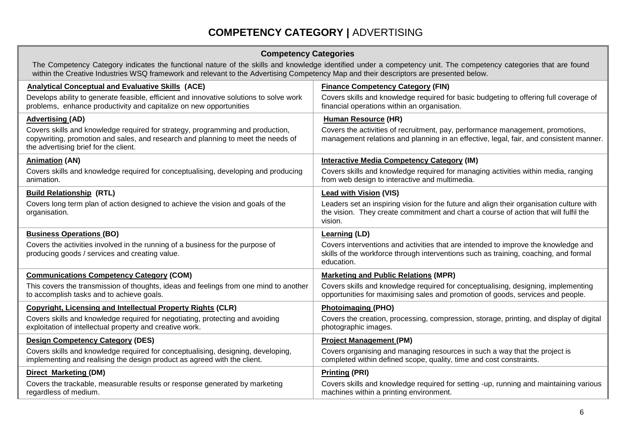## **COMPETENCY CATEGORY |** ADVERTISING

#### **Competency Categories**

The Competency Category indicates the functional nature of the skills and knowledge identified under a competency unit. The competency categories that are found within the Creative Industries WSQ framework and relevant to the Advertising Competency Map and their descriptors are presented below.

| <b>Analytical Conceptual and Evaluative Skills (ACE)</b>                                                                                                                                                    | <b>Finance Competency Category (FIN)</b>                                                                                                                                                    |
|-------------------------------------------------------------------------------------------------------------------------------------------------------------------------------------------------------------|---------------------------------------------------------------------------------------------------------------------------------------------------------------------------------------------|
| Develops ability to generate feasible, efficient and innovative solutions to solve work<br>problems, enhance productivity and capitalize on new opportunities                                               | Covers skills and knowledge required for basic budgeting to offering full coverage of<br>financial operations within an organisation.                                                       |
| <b>Advertising (AD)</b>                                                                                                                                                                                     | <b>Human Resource (HR)</b>                                                                                                                                                                  |
| Covers skills and knowledge required for strategy, programming and production,<br>copywriting, promotion and sales, and research and planning to meet the needs of<br>the advertising brief for the client. | Covers the activities of recruitment, pay, performance management, promotions,<br>management relations and planning in an effective, legal, fair, and consistent manner.                    |
| <b>Animation (AN)</b>                                                                                                                                                                                       | <b>Interactive Media Competency Category (IM)</b>                                                                                                                                           |
| Covers skills and knowledge required for conceptualising, developing and producing<br>animation.                                                                                                            | Covers skills and knowledge required for managing activities within media, ranging<br>from web design to interactive and multimedia.                                                        |
| <b>Build Relationship (RTL)</b>                                                                                                                                                                             | <b>Lead with Vision (VIS)</b>                                                                                                                                                               |
| Covers long term plan of action designed to achieve the vision and goals of the<br>organisation.                                                                                                            | Leaders set an inspiring vision for the future and align their organisation culture with<br>the vision. They create commitment and chart a course of action that will fulfil the<br>vision. |
| <b>Business Operations (BO)</b>                                                                                                                                                                             | <b>Learning (LD)</b>                                                                                                                                                                        |
| Covers the activities involved in the running of a business for the purpose of<br>producing goods / services and creating value.                                                                            | Covers interventions and activities that are intended to improve the knowledge and<br>skills of the workforce through interventions such as training, coaching, and formal<br>education.    |
| <b>Communications Competency Category (COM)</b>                                                                                                                                                             | <b>Marketing and Public Relations (MPR)</b>                                                                                                                                                 |
| This covers the transmission of thoughts, ideas and feelings from one mind to another<br>to accomplish tasks and to achieve goals.                                                                          | Covers skills and knowledge required for conceptualising, designing, implementing<br>opportunities for maximising sales and promotion of goods, services and people.                        |
| <b>Copyright, Licensing and Intellectual Property Rights (CLR)</b>                                                                                                                                          | Photoimaging (PHO)                                                                                                                                                                          |
| Covers skills and knowledge required for negotiating, protecting and avoiding<br>exploitation of intellectual property and creative work.                                                                   | Covers the creation, processing, compression, storage, printing, and display of digital<br>photographic images.                                                                             |
| <b>Design Competency Category (DES)</b>                                                                                                                                                                     | <b>Project Management (PM)</b>                                                                                                                                                              |
| Covers skills and knowledge required for conceptualising, designing, developing,<br>implementing and realising the design product as agreed with the client.                                                | Covers organising and managing resources in such a way that the project is<br>completed within defined scope, quality, time and cost constraints.                                           |
| <b>Direct Marketing (DM)</b>                                                                                                                                                                                | <b>Printing (PRI)</b>                                                                                                                                                                       |
| Covers the trackable, measurable results or response generated by marketing<br>regardless of medium.                                                                                                        | Covers skills and knowledge required for setting -up, running and maintaining various<br>machines within a printing environment.                                                            |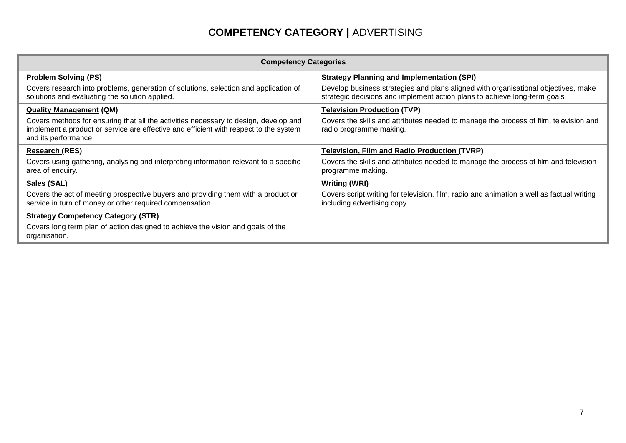## **COMPETENCY CATEGORY |** ADVERTISING

| <b>Competency Categories</b>                                                                                                                                                                          |                                                                                                                                                                 |  |  |  |  |
|-------------------------------------------------------------------------------------------------------------------------------------------------------------------------------------------------------|-----------------------------------------------------------------------------------------------------------------------------------------------------------------|--|--|--|--|
| <b>Problem Solving (PS)</b>                                                                                                                                                                           | <b>Strategy Planning and Implementation (SPI)</b>                                                                                                               |  |  |  |  |
| Covers research into problems, generation of solutions, selection and application of<br>solutions and evaluating the solution applied.                                                                | Develop business strategies and plans aligned with organisational objectives, make<br>strategic decisions and implement action plans to achieve long-term goals |  |  |  |  |
| <b>Quality Management (QM)</b>                                                                                                                                                                        | <b>Television Production (TVP)</b>                                                                                                                              |  |  |  |  |
| Covers methods for ensuring that all the activities necessary to design, develop and<br>implement a product or service are effective and efficient with respect to the system<br>and its performance. | Covers the skills and attributes needed to manage the process of film, television and<br>radio programme making.                                                |  |  |  |  |
| <b>Research (RES)</b>                                                                                                                                                                                 | <b>Television, Film and Radio Production (TVRP)</b>                                                                                                             |  |  |  |  |
| Covers using gathering, analysing and interpreting information relevant to a specific<br>area of enquiry.                                                                                             | Covers the skills and attributes needed to manage the process of film and television<br>programme making.                                                       |  |  |  |  |
| Sales (SAL)                                                                                                                                                                                           | <b>Writing (WRI)</b>                                                                                                                                            |  |  |  |  |
| Covers the act of meeting prospective buyers and providing them with a product or<br>service in turn of money or other required compensation.                                                         | Covers script writing for television, film, radio and animation a well as factual writing<br>including advertising copy                                         |  |  |  |  |
| <b>Strategy Competency Category (STR)</b>                                                                                                                                                             |                                                                                                                                                                 |  |  |  |  |
| Covers long term plan of action designed to achieve the vision and goals of the<br>organisation.                                                                                                      |                                                                                                                                                                 |  |  |  |  |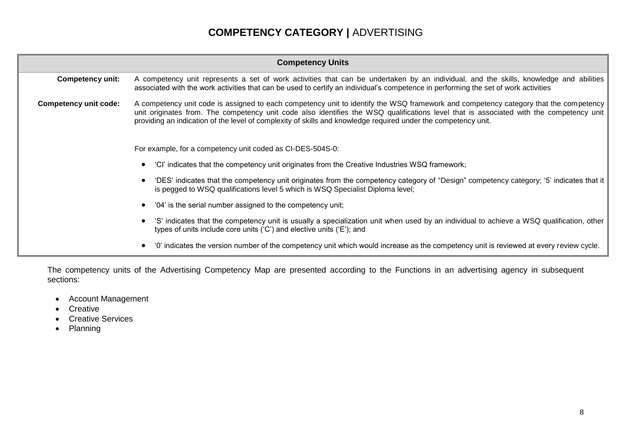## **COMPETENCY CATEGORY |** ADVERTISING

| <b>Competency Units</b>      |                                                                                                                                                                                                                                                                                                                                                                                                   |  |  |  |  |
|------------------------------|---------------------------------------------------------------------------------------------------------------------------------------------------------------------------------------------------------------------------------------------------------------------------------------------------------------------------------------------------------------------------------------------------|--|--|--|--|
| <b>Competency unit:</b>      | A competency unit represents a set of work activities that can be undertaken by an individual, and the skills, knowledge and abilities<br>associated with the work activities that can be used to certify an individual's competence in performing the set of work activities                                                                                                                     |  |  |  |  |
| <b>Competency unit code:</b> | A competency unit code is assigned to each competency unit to identify the WSQ framework and competency category that the competency<br>unit originates from. The competency unit code also identifies the WSQ qualifications level that is associated with the competency unit<br>providing an indication of the level of complexity of skills and knowledge required under the competency unit. |  |  |  |  |
|                              | For example, for a competency unit coded as CI-DES-504S-0:                                                                                                                                                                                                                                                                                                                                        |  |  |  |  |
|                              | 'CI' indicates that the competency unit originates from the Creative Industries WSQ framework;                                                                                                                                                                                                                                                                                                    |  |  |  |  |
|                              | 'DES' indicates that the competency unit originates from the competency category of "Design" competency category; '5' indicates that it<br>is pegged to WSQ qualifications level 5 which is WSQ Specialist Diploma level;                                                                                                                                                                         |  |  |  |  |
|                              | '04' is the serial number assigned to the competency unit;                                                                                                                                                                                                                                                                                                                                        |  |  |  |  |
|                              | 'S' indicates that the competency unit is usually a specialization unit when used by an individual to achieve a WSQ qualification, other<br>types of units include core units ('C') and elective units ('E'); and                                                                                                                                                                                 |  |  |  |  |
|                              | '0' indicates the version number of the competency unit which would increase as the competency unit is reviewed at every review cycle.                                                                                                                                                                                                                                                            |  |  |  |  |

The competency units of the Advertising Competency Map are presented according to the Functions in an advertising agency in subsequent sections:

- Account Management
- Creative
- Creative Services
- Planning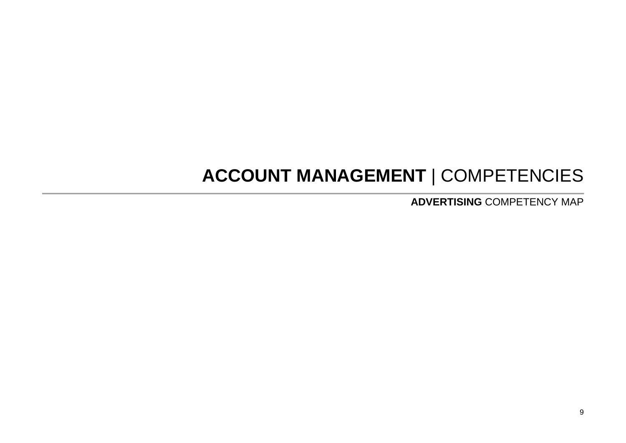## **ACCOUNT MANAGEMENT** | COMPETENCIES

**ADVERTISING** COMPETENCY MAP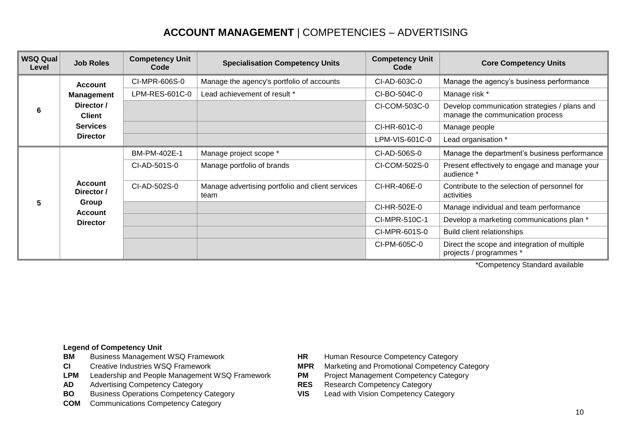## **ACCOUNT MANAGEMENT** | COMPETENCIES – ADVERTISING

| <b>WSQ Qual</b><br>Level | <b>Job Roles</b>             | <b>Competency Unit</b><br>Code | <b>Specialisation Competency Units</b>                   | <b>Competency Unit</b><br>Code | <b>Core Competency Units</b>                                                     |
|--------------------------|------------------------------|--------------------------------|----------------------------------------------------------|--------------------------------|----------------------------------------------------------------------------------|
|                          | <b>Account</b>               | CI-MPR-606S-0                  | Manage the agency's portfolio of accounts                | CI-AD-603C-0                   | Manage the agency's business performance                                         |
|                          | <b>Management</b>            | LPM-RES-601C-0                 | Lead achievement of result *                             | CI-BO-504C-0                   | Manage risk *                                                                    |
| 6                        | Director /<br><b>Client</b>  |                                |                                                          | CI-COM-503C-0                  | Develop communication strategies / plans and<br>manage the communication process |
|                          | <b>Services</b>              |                                |                                                          | CI-HR-601C-0                   | Manage people                                                                    |
|                          | <b>Director</b>              |                                |                                                          | LPM-VIS-601C-0                 | Lead organisation *                                                              |
|                          |                              | BM-PM-402E-1                   | Manage project scope *                                   | CI-AD-506S-0                   | Manage the department's business performance                                     |
|                          |                              | CI-AD-501S-0                   | Manage portfolio of brands                               | CI-COM-502S-0                  | Present effectively to engage and manage your<br>audience *                      |
|                          | <b>Account</b><br>Director / | CI-AD-502S-0                   | Manage advertising portfolio and client services<br>team | CI-HR-406E-0                   | Contribute to the selection of personnel for<br>activities                       |
| 5                        | Group<br><b>Account</b>      |                                |                                                          | CI-HR-502E-0                   | Manage individual and team performance                                           |
|                          | <b>Director</b>              |                                |                                                          | CI-MPR-510C-1                  | Develop a marketing communications plan *                                        |
|                          |                              |                                |                                                          | CI-MPR-601S-0                  | Build client relationships                                                       |
|                          |                              |                                |                                                          | CI-PM-605C-0                   | Direct the scope and integration of multiple<br>projects / programmes *          |

\*Competency Standard available

- 
- 
- LPM Leadership and People Management WSQ Framework **PM** Project Management Competency Category
- **AD** Advertising Competency Category **RES** Research Competency Category
- **BO** Business Operations Competency Category **VIS** Lead with Vision Competency Category
- **COM** Communications Competency Category
- **BM** Business Management WSQ Framework **HR** Human Resource Competency Category
- **CI** Creative Industries WSQ Framework **MPR** Marketing and Promotional Competency Category
	-
	-
	-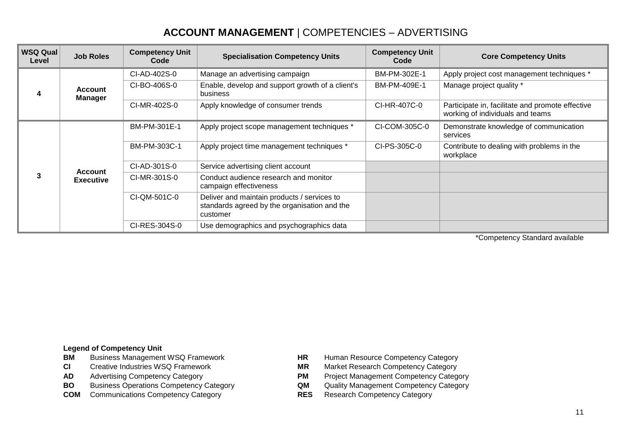## **ACCOUNT MANAGEMENT** | COMPETENCIES – ADVERTISING

| <b>WSQ Qual</b><br>Level | <b>Job Roles</b>                   | <b>Competency Unit</b><br>Code | <b>Specialisation Competency Units</b>                                                                  | <b>Competency Unit</b><br>Code | <b>Core Competency Units</b>                                                         |
|--------------------------|------------------------------------|--------------------------------|---------------------------------------------------------------------------------------------------------|--------------------------------|--------------------------------------------------------------------------------------|
|                          |                                    | CI-AD-402S-0                   | Manage an advertising campaign                                                                          | BM-PM-302E-1                   | Apply project cost management techniques *                                           |
| 4                        | <b>Account</b><br><b>Manager</b>   | CI-BO-406S-0                   | Enable, develop and support growth of a client's<br>business                                            | BM-PM-409E-1                   | Manage project quality *                                                             |
|                          |                                    | CI-MR-402S-0                   | Apply knowledge of consumer trends                                                                      | CI-HR-407C-0                   | Participate in, facilitate and promote effective<br>working of individuals and teams |
|                          | <b>Account</b><br><b>Executive</b> | BM-PM-301E-1                   | Apply project scope management techniques *                                                             | CI-COM-305C-0                  | Demonstrate knowledge of communication<br>services                                   |
|                          |                                    | BM-PM-303C-1                   | Apply project time management techniques *                                                              | CI-PS-305C-0                   | Contribute to dealing with problems in the<br>workplace                              |
|                          |                                    | CI-AD-301S-0                   | Service advertising client account                                                                      |                                |                                                                                      |
| 3                        |                                    | CI-MR-301S-0                   | Conduct audience research and monitor<br>campaign effectiveness                                         |                                |                                                                                      |
|                          |                                    | CI-QM-501C-0                   | Deliver and maintain products / services to<br>standards agreed by the organisation and the<br>customer |                                |                                                                                      |
|                          |                                    | CI-RES-304S-0                  | Use demographics and psychographics data                                                                |                                |                                                                                      |

\*Competency Standard available

- 
- 
- 
- **BO** Business Operations Competency Category **QM** Quality Management Competency Category
- **COM** Communications Competency Category **RES** Research Competency Category
- **BM** Business Management WSQ Framework **HR** Human Resource Competency Category<br> **CI** Creative Industries WSQ Framework **HR** Market Research Competency Category
- **CI** Creative Industries WSQ Framework **MR** Market Research Competency Category<br> **AD** Advertising Competency Category **MPM** Project Management Competency Category
	- **PM** Project Management Competency Category
	-
	-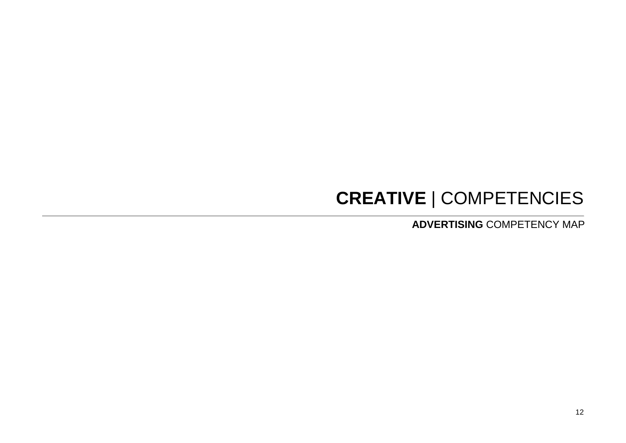# **CREATIVE** | COMPETENCIES

**ADVERTISING** COMPETENCY MAP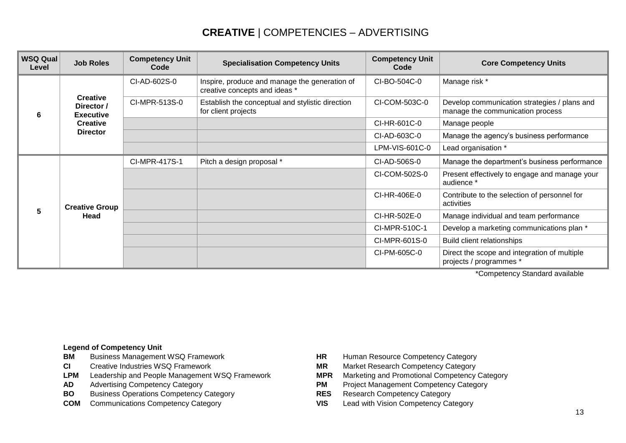## **CREATIVE** | COMPETENCIES – ADVERTISING

| <b>WSQ Qual</b><br>Level | <b>Job Roles</b>                                  | <b>Competency Unit</b><br>Code | <b>Specialisation Competency Units</b>                                         | <b>Competency Unit</b><br>Code | <b>Core Competency Units</b>                                                     |
|--------------------------|---------------------------------------------------|--------------------------------|--------------------------------------------------------------------------------|--------------------------------|----------------------------------------------------------------------------------|
| 6                        |                                                   | CI-AD-602S-0                   | Inspire, produce and manage the generation of<br>creative concepts and ideas * | CI-BO-504C-0                   | Manage risk *                                                                    |
|                          | <b>Creative</b><br>Director /<br><b>Executive</b> | CI-MPR-513S-0                  | Establish the conceptual and stylistic direction<br>for client projects        | CI-COM-503C-0                  | Develop communication strategies / plans and<br>manage the communication process |
|                          | <b>Creative</b>                                   |                                |                                                                                | CI-HR-601C-0                   | Manage people                                                                    |
|                          | <b>Director</b>                                   |                                |                                                                                | CI-AD-603C-0                   | Manage the agency's business performance                                         |
|                          |                                                   |                                |                                                                                | LPM-VIS-601C-0                 | Lead organisation *                                                              |
|                          |                                                   | CI-MPR-417S-1                  | Pitch a design proposal *                                                      | CI-AD-506S-0                   | Manage the department's business performance                                     |
|                          | <b>Creative Group</b><br>Head                     |                                |                                                                                | CI-COM-502S-0                  | Present effectively to engage and manage your<br>audience *                      |
|                          |                                                   |                                |                                                                                | CI-HR-406E-0                   | Contribute to the selection of personnel for<br>activities                       |
| 5                        |                                                   |                                |                                                                                | CI-HR-502E-0                   | Manage individual and team performance                                           |
|                          |                                                   |                                |                                                                                | CI-MPR-510C-1                  | Develop a marketing communications plan *                                        |
|                          |                                                   |                                |                                                                                | CI-MPR-601S-0                  | Build client relationships                                                       |
|                          |                                                   |                                |                                                                                | CI-PM-605C-0                   | Direct the scope and integration of multiple<br>projects / programmes *          |

\*Competency Standard available

- **BM** Business Management WSQ Framework **HR** Human Resource Competency Category
- 
- **LPM** Leadership and People Management WSQ Framework **MPR** Marketing and Promotional Competency Category
- 
- **BO** Business Operations Competency Category **RES**
- 
- 
- **CI** Creative Industries WSQ Framework **MR** Market Research Competency Category
	-
- **AD** Advertising Competency Category<br> **BO** Business Operations Competency Category<br> **RES** Research Competency Category<br> **RES** Research Competency Category
	-
- **COM** Communications Competency Category **VIS** Lead with Vision Competency Category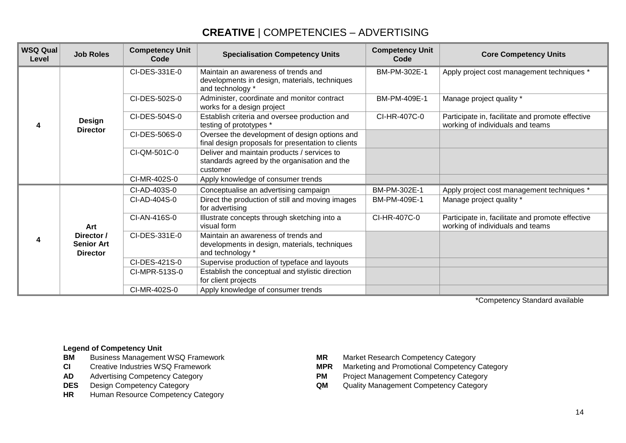## **CREATIVE** | COMPETENCIES – ADVERTISING

| <b>WSQ Qual</b><br>Level | <b>Job Roles</b>                                   | <b>Competency Unit</b><br>Code | <b>Specialisation Competency Units</b>                                                                   | <b>Competency Unit</b><br>Code | <b>Core Competency Units</b>                                                         |
|--------------------------|----------------------------------------------------|--------------------------------|----------------------------------------------------------------------------------------------------------|--------------------------------|--------------------------------------------------------------------------------------|
|                          |                                                    | CI-DES-331E-0                  | Maintain an awareness of trends and<br>developments in design, materials, techniques<br>and technology * | BM-PM-302E-1                   | Apply project cost management techniques *                                           |
|                          |                                                    | CI-DES-502S-0                  | Administer, coordinate and monitor contract<br>works for a design project                                | BM-PM-409E-1                   | Manage project quality *                                                             |
| 4                        | <b>Design</b><br><b>Director</b>                   | CI-DES-504S-0                  | Establish criteria and oversee production and<br>testing of prototypes *                                 | CI-HR-407C-0                   | Participate in, facilitate and promote effective<br>working of individuals and teams |
|                          |                                                    | CI-DES-506S-0                  | Oversee the development of design options and<br>final design proposals for presentation to clients      |                                |                                                                                      |
|                          |                                                    | CI-QM-501C-0                   | Deliver and maintain products / services to<br>standards agreed by the organisation and the<br>customer  |                                |                                                                                      |
|                          |                                                    | CI-MR-402S-0                   | Apply knowledge of consumer trends                                                                       |                                |                                                                                      |
|                          |                                                    | CI-AD-403S-0                   | Conceptualise an advertising campaign                                                                    | BM-PM-302E-1                   | Apply project cost management techniques *                                           |
| 4                        | Art                                                | CI-AD-404S-0                   | Direct the production of still and moving images<br>for advertising                                      | BM-PM-409E-1                   | Manage project quality *                                                             |
|                          |                                                    | CI-AN-416S-0                   | Illustrate concepts through sketching into a<br>visual form                                              | CI-HR-407C-0                   | Participate in, facilitate and promote effective<br>working of individuals and teams |
|                          | Director /<br><b>Senior Art</b><br><b>Director</b> | CI-DES-331E-0                  | Maintain an awareness of trends and<br>developments in design, materials, techniques<br>and technology * |                                |                                                                                      |
|                          |                                                    | CI-DES-421S-0                  | Supervise production of typeface and layouts                                                             |                                |                                                                                      |
|                          |                                                    | CI-MPR-513S-0                  | Establish the conceptual and stylistic direction<br>for client projects                                  |                                |                                                                                      |
|                          |                                                    | CI-MR-402S-0                   | Apply knowledge of consumer trends                                                                       |                                |                                                                                      |

\*Competency Standard available

- **BM** Business Management WSQ Framework **MR** Market Research Competency Category<br>**CI** Creative Industries WSO Framework **MPR** Marketing and Promotional Competency
- 
- 
- 
- **HR** Human Resource Competency Category
- 
- **CI** Creative Industries WSQ Framework **MPR** Marketing and Promotional Competency Category<br> **AD** Advertising Competency Category **M** Project Management Competency Category
	- **PM** Project Management Competency Category
- **DES** Design Competency Category **QM** Quality Management Competency Category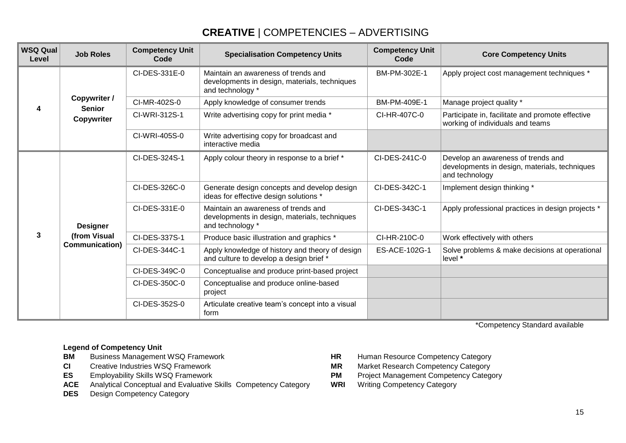## **CREATIVE** | COMPETENCIES – ADVERTISING

| <b>WSQ Qual</b><br>Level | <b>Job Roles</b>                                  | <b>Competency Unit</b><br>Code | <b>Specialisation Competency Units</b>                                                                   | <b>Competency Unit</b><br>Code | <b>Core Competency Units</b>                                                                          |
|--------------------------|---------------------------------------------------|--------------------------------|----------------------------------------------------------------------------------------------------------|--------------------------------|-------------------------------------------------------------------------------------------------------|
|                          |                                                   | CI-DES-331E-0                  | Maintain an awareness of trends and<br>developments in design, materials, techniques<br>and technology * | BM-PM-302E-1                   | Apply project cost management techniques *                                                            |
|                          | Copywriter /<br><b>Senior</b>                     | CI-MR-402S-0                   | Apply knowledge of consumer trends                                                                       | BM-PM-409E-1                   | Manage project quality *                                                                              |
|                          | Copywriter                                        | CI-WRI-312S-1                  | Write advertising copy for print media *                                                                 | CI-HR-407C-0                   | Participate in, facilitate and promote effective<br>working of individuals and teams                  |
|                          |                                                   | CI-WRI-405S-0                  | Write advertising copy for broadcast and<br>interactive media                                            |                                |                                                                                                       |
|                          | <b>Designer</b><br>(from Visual<br>Communication) | CI-DES-324S-1                  | Apply colour theory in response to a brief *                                                             | CI-DES-241C-0                  | Develop an awareness of trends and<br>developments in design, materials, techniques<br>and technology |
|                          |                                                   | CI-DES-326C-0                  | Generate design concepts and develop design<br>ideas for effective design solutions *                    | CI-DES-342C-1                  | Implement design thinking *                                                                           |
|                          |                                                   | CI-DES-331E-0                  | Maintain an awareness of trends and<br>developments in design, materials, techniques<br>and technology * | CI-DES-343C-1                  | Apply professional practices in design projects *                                                     |
| 3                        |                                                   | CI-DES-337S-1                  | Produce basic illustration and graphics *                                                                | CI-HR-210C-0                   | Work effectively with others                                                                          |
|                          |                                                   | CI-DES-344C-1                  | Apply knowledge of history and theory of design<br>and culture to develop a design brief *               | ES-ACE-102G-1                  | Solve problems & make decisions at operational<br>level *                                             |
|                          |                                                   | CI-DES-349C-0                  | Conceptualise and produce print-based project                                                            |                                |                                                                                                       |
|                          |                                                   | CI-DES-350C-0                  | Conceptualise and produce online-based<br>project                                                        |                                |                                                                                                       |
|                          |                                                   | CI-DES-352S-0                  | Articulate creative team's concept into a visual<br>form                                                 |                                |                                                                                                       |

\*Competency Standard available

- **BM** Business Management WSQ Framework **HR** Human Resource Competency Category<br>**CI** Creative Industries WSQ Framework **HR** MR Market Research Competency Category
- 
- 
- **ES** Employability Skills WSQ Framework **PM** Project Management Competency Category<br>**ACE** Analytical Conceptual and Evaluative Skills Competency Category **WRI** Writing Competency Category **ACE** Analytical Conceptual and Evaluative Skills Competency Category WRI
- **DES** Design Competency Category
- 
- **CI** Creative Industries WSQ Framework **MR** Market Research Competency Category
	-
	-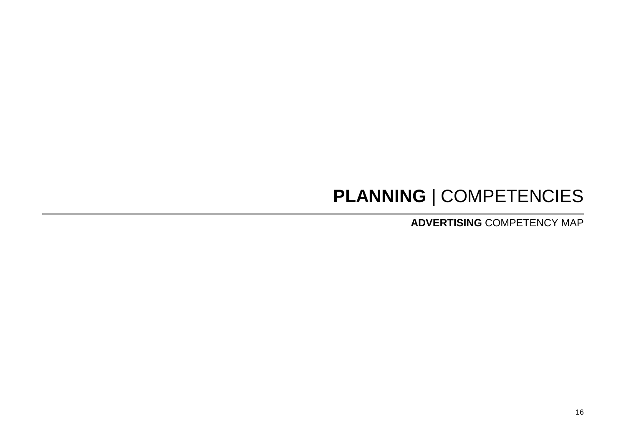# **PLANNING** | COMPETENCIES

**ADVERTISING** COMPETENCY MAP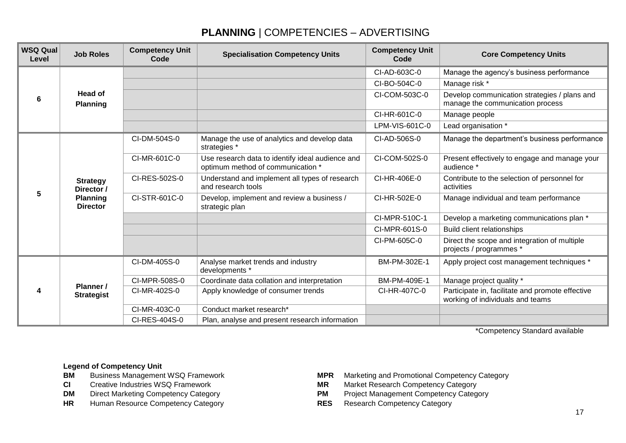## **PLANNING** | COMPETENCIES – ADVERTISING

| <b>WSQ Qual</b><br>Level | <b>Job Roles</b>                                                    | <b>Competency Unit</b><br><b>Code</b> | <b>Specialisation Competency Units</b>                                                | <b>Competency Unit</b><br>Code | <b>Core Competency Units</b>                                                         |
|--------------------------|---------------------------------------------------------------------|---------------------------------------|---------------------------------------------------------------------------------------|--------------------------------|--------------------------------------------------------------------------------------|
| 6                        | Head of<br><b>Planning</b>                                          |                                       |                                                                                       | CI-AD-603C-0                   | Manage the agency's business performance                                             |
|                          |                                                                     |                                       |                                                                                       | CI-BO-504C-0                   | Manage risk *                                                                        |
|                          |                                                                     |                                       |                                                                                       | CI-COM-503C-0                  | Develop communication strategies / plans and<br>manage the communication process     |
|                          |                                                                     |                                       |                                                                                       | CI-HR-601C-0                   | Manage people                                                                        |
|                          |                                                                     |                                       |                                                                                       | LPM-VIS-601C-0                 | Lead organisation *                                                                  |
| 5                        | <b>Strategy</b><br>Director /<br><b>Planning</b><br><b>Director</b> | CI-DM-504S-0                          | Manage the use of analytics and develop data<br>strategies *                          | CI-AD-506S-0                   | Manage the department's business performance                                         |
|                          |                                                                     | CI-MR-601C-0                          | Use research data to identify ideal audience and<br>optimum method of communication * | CI-COM-502S-0                  | Present effectively to engage and manage your<br>audience *                          |
|                          |                                                                     | CI-RES-502S-0                         | Understand and implement all types of research<br>and research tools                  | CI-HR-406E-0                   | Contribute to the selection of personnel for<br>activities                           |
|                          |                                                                     | CI-STR-601C-0                         | Develop, implement and review a business /<br>strategic plan                          | CI-HR-502E-0                   | Manage individual and team performance                                               |
|                          |                                                                     |                                       |                                                                                       | CI-MPR-510C-1                  | Develop a marketing communications plan *                                            |
|                          |                                                                     |                                       |                                                                                       | CI-MPR-601S-0                  | <b>Build client relationships</b>                                                    |
|                          |                                                                     |                                       |                                                                                       | CI-PM-605C-0                   | Direct the scope and integration of multiple<br>projects / programmes *              |
| 4                        | Planner /<br><b>Strategist</b>                                      | CI-DM-405S-0                          | Analyse market trends and industry<br>developments *                                  | BM-PM-302E-1                   | Apply project cost management techniques *                                           |
|                          |                                                                     | CI-MPR-508S-0                         | Coordinate data collation and interpretation                                          | BM-PM-409E-1                   | Manage project quality *                                                             |
|                          |                                                                     | CI-MR-402S-0                          | Apply knowledge of consumer trends                                                    | CI-HR-407C-0                   | Participate in, facilitate and promote effective<br>working of individuals and teams |
|                          |                                                                     | CI-MR-403C-0                          | Conduct market research*                                                              |                                |                                                                                      |
|                          |                                                                     | CI-RES-404S-0                         | Plan, analyse and present research information                                        |                                |                                                                                      |

\*Competency Standard available

- 
- 
- 
- **HR** Human Resource Competency Category **RES** Research Competency Category
- **BM** Business Management WSQ Framework **MPR Marketing and Promotional Competency Category**<br> **CI** Creative Industries WSQ Framework **MICH MAR** Market Research Competency Category
- **CI** Creative Industries WSQ Framework **MR** Market Research Competency Category<br> **DM** Direct Marketing Competency Category<br> **PM** Proiect Management Competency Category
	- Direct Marketing Competency Category **PM** Project Management Competency Category
		-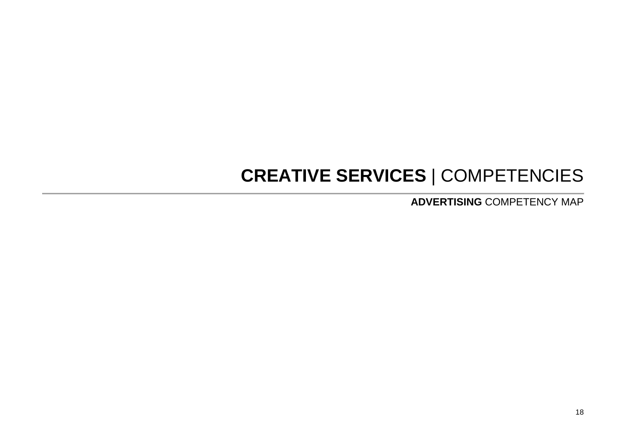## **CREATIVE SERVICES** | COMPETENCIES

**ADVERTISING** COMPETENCY MAP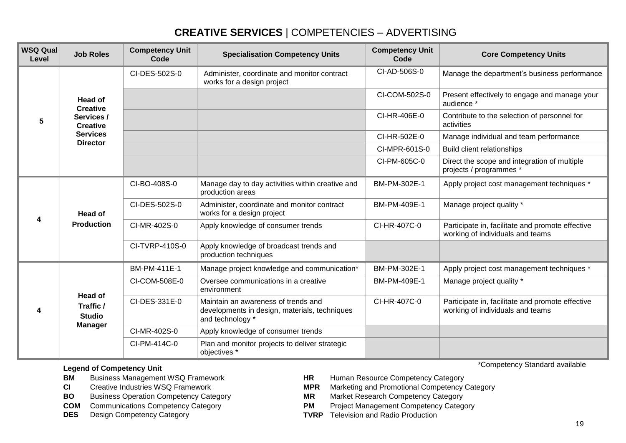| <b>WSQ Qual</b><br>Level | <b>Job Roles</b>                                                   | <b>Competency Unit</b><br>Code | <b>Specialisation Competency Units</b>                                                                   | <b>Competency Unit</b><br>Code | <b>Core Competency Units</b>                                                         |
|--------------------------|--------------------------------------------------------------------|--------------------------------|----------------------------------------------------------------------------------------------------------|--------------------------------|--------------------------------------------------------------------------------------|
| 5                        | <b>Head of</b><br><b>Creative</b><br>Services /<br><b>Creative</b> | CI-DES-502S-0                  | Administer, coordinate and monitor contract<br>works for a design project                                | CI-AD-506S-0                   | Manage the department's business performance                                         |
|                          |                                                                    |                                |                                                                                                          | CI-COM-502S-0                  | Present effectively to engage and manage your<br>audience *                          |
|                          |                                                                    |                                |                                                                                                          | CI-HR-406E-0                   | Contribute to the selection of personnel for<br>activities                           |
|                          | <b>Services</b><br><b>Director</b>                                 |                                |                                                                                                          | CI-HR-502E-0                   | Manage individual and team performance                                               |
|                          |                                                                    |                                |                                                                                                          | CI-MPR-601S-0                  | <b>Build client relationships</b>                                                    |
|                          |                                                                    |                                |                                                                                                          | CI-PM-605C-0                   | Direct the scope and integration of multiple<br>projects / programmes *              |
| 4                        | Head of<br><b>Production</b>                                       | CI-BO-408S-0                   | Manage day to day activities within creative and<br>production areas                                     | BM-PM-302E-1                   | Apply project cost management techniques *                                           |
|                          |                                                                    | CI-DES-502S-0                  | Administer, coordinate and monitor contract<br>works for a design project                                | BM-PM-409E-1                   | Manage project quality *                                                             |
|                          |                                                                    | CI-MR-402S-0                   | Apply knowledge of consumer trends                                                                       | CI-HR-407C-0                   | Participate in, facilitate and promote effective<br>working of individuals and teams |
|                          |                                                                    | CI-TVRP-410S-0                 | Apply knowledge of broadcast trends and<br>production techniques                                         |                                |                                                                                      |
|                          | <b>Head of</b><br>Traffic /<br><b>Studio</b><br><b>Manager</b>     | BM-PM-411E-1                   | Manage project knowledge and communication*                                                              | BM-PM-302E-1                   | Apply project cost management techniques *                                           |
| Δ                        |                                                                    | CI-COM-508E-0                  | Oversee communications in a creative<br>environment                                                      | BM-PM-409E-1                   | Manage project quality *                                                             |
|                          |                                                                    | CI-DES-331E-0                  | Maintain an awareness of trends and<br>developments in design, materials, techniques<br>and technology * | CI-HR-407C-0                   | Participate in, facilitate and promote effective<br>working of individuals and teams |
|                          |                                                                    | CI-MR-402S-0                   | Apply knowledge of consumer trends                                                                       |                                |                                                                                      |
|                          |                                                                    | CI-PM-414C-0                   | Plan and monitor projects to deliver strategic<br>objectives *                                           |                                |                                                                                      |

- **BM** Business Management WSQ Framework **HR** Human Resource Competency Category
- 
- **BO** Business Operation Competency Category **MR**
- 
- **DES** Design Competency Category **TVRP** Television and Radio Production
- \*Competency Standard available
- 
- **CI** Creative Industries WSQ Framework **MPR Marketing and Promotional Competency Category**<br> **BO** Business Operation Competency Category **MR** Market Research Competency Category
	-
- **COM** Communications Competency Category **PM** Project Management Competency Category
	-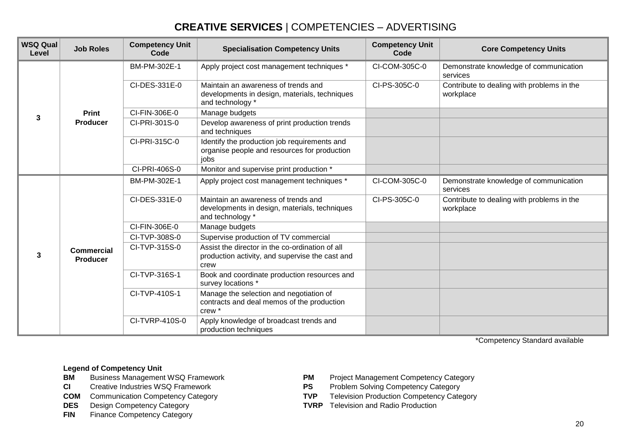| <b>WSQ Qual</b><br>Level | <b>Job Roles</b>                     | <b>Competency Unit</b><br>Code | <b>Specialisation Competency Units</b>                                                                     | <b>Competency Unit</b><br>Code | <b>Core Competency Units</b>                            |
|--------------------------|--------------------------------------|--------------------------------|------------------------------------------------------------------------------------------------------------|--------------------------------|---------------------------------------------------------|
|                          |                                      | BM-PM-302E-1                   | Apply project cost management techniques *                                                                 | CI-COM-305C-0                  | Demonstrate knowledge of communication<br>services      |
|                          |                                      | CI-DES-331E-0                  | Maintain an awareness of trends and<br>developments in design, materials, techniques<br>and technology *   | CI-PS-305C-0                   | Contribute to dealing with problems in the<br>workplace |
|                          | <b>Print</b><br><b>Producer</b>      | CI-FIN-306E-0                  | Manage budgets                                                                                             |                                |                                                         |
| 3                        |                                      | CI-PRI-301S-0                  | Develop awareness of print production trends<br>and techniques                                             |                                |                                                         |
|                          |                                      | CI-PRI-315C-0                  | Identify the production job requirements and<br>organise people and resources for production<br>jobs       |                                |                                                         |
|                          |                                      | CI-PRI-406S-0                  | Monitor and supervise print production *                                                                   |                                |                                                         |
|                          |                                      | BM-PM-302E-1                   | Apply project cost management techniques *                                                                 | CI-COM-305C-0                  | Demonstrate knowledge of communication<br>services      |
|                          |                                      | CI-DES-331E-0                  | Maintain an awareness of trends and<br>developments in design, materials, techniques<br>and technology *   | CI-PS-305C-0                   | Contribute to dealing with problems in the<br>workplace |
|                          |                                      | CI-FIN-306E-0                  | Manage budgets                                                                                             |                                |                                                         |
|                          |                                      | CI-TVP-308S-0                  | Supervise production of TV commercial                                                                      |                                |                                                         |
| 3                        | <b>Commercial</b><br><b>Producer</b> | CI-TVP-315S-0                  | Assist the director in the co-ordination of all<br>production activity, and supervise the cast and<br>crew |                                |                                                         |
|                          |                                      | CI-TVP-316S-1                  | Book and coordinate production resources and<br>survey locations *                                         |                                |                                                         |
|                          |                                      | CI-TVP-410S-1                  | Manage the selection and negotiation of<br>contracts and deal memos of the production<br>crew *            |                                |                                                         |
|                          |                                      | CI-TVRP-410S-0                 | Apply knowledge of broadcast trends and<br>production techniques                                           |                                |                                                         |

\*Competency Standard available

- 
- 
- **COM** Communication Competency Category
- 
- **FIN** Finance Competency Category
- **BM** Business Management WSQ Framework **PM** Project Management Competency Category<br> **CI** Creative Industries WSQ Framework **PS** Problem Solving Competency Category
- **CI** Creative Industries WSQ Framework **PS** Problem Solving Competency Category<br> **COM** Communication Competency Category **PS** TVP Television Production Competency Category
	-
- **DES** Design Competency Category **TVRP** Television and Radio Production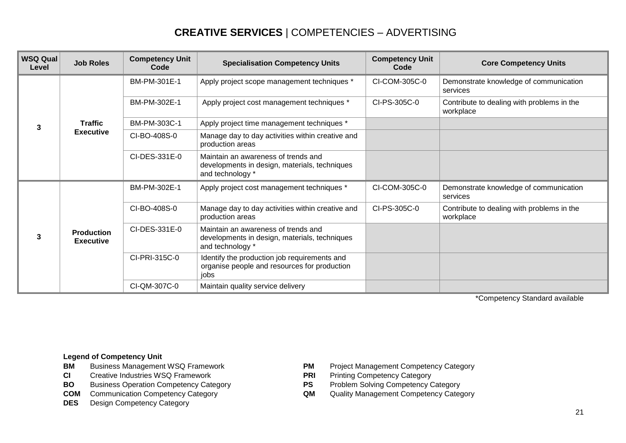| <b>WSQ Qual</b><br>Level | <b>Job Roles</b>                      | <b>Competency Unit</b><br>Code | <b>Specialisation Competency Units</b>                                                                   | <b>Competency Unit</b><br>Code | <b>Core Competency Units</b>                            |
|--------------------------|---------------------------------------|--------------------------------|----------------------------------------------------------------------------------------------------------|--------------------------------|---------------------------------------------------------|
| 3                        | <b>Traffic</b><br><b>Executive</b>    | BM-PM-301E-1                   | Apply project scope management techniques *                                                              | CI-COM-305C-0                  | Demonstrate knowledge of communication<br>services      |
|                          |                                       | BM-PM-302E-1                   | Apply project cost management techniques *                                                               | CI-PS-305C-0                   | Contribute to dealing with problems in the<br>workplace |
|                          |                                       | BM-PM-303C-1                   | Apply project time management techniques *                                                               |                                |                                                         |
|                          |                                       | CI-BO-408S-0                   | Manage day to day activities within creative and<br>production areas                                     |                                |                                                         |
|                          |                                       | CI-DES-331E-0                  | Maintain an awareness of trends and<br>developments in design, materials, techniques<br>and technology * |                                |                                                         |
| 3                        | <b>Production</b><br><b>Executive</b> | BM-PM-302E-1                   | Apply project cost management techniques *                                                               | CI-COM-305C-0                  | Demonstrate knowledge of communication<br>services      |
|                          |                                       | CI-BO-408S-0                   | Manage day to day activities within creative and<br>production areas                                     | CI-PS-305C-0                   | Contribute to dealing with problems in the<br>workplace |
|                          |                                       | CI-DES-331E-0                  | Maintain an awareness of trends and<br>developments in design, materials, techniques<br>and technology * |                                |                                                         |
|                          |                                       | CI-PRI-315C-0                  | Identify the production job requirements and<br>organise people and resources for production<br>jobs     |                                |                                                         |
|                          |                                       | CI-QM-307C-0                   | Maintain quality service delivery                                                                        |                                |                                                         |

\*Competency Standard available

- **BM** Business Management WSQ Framework **PM** Project Management Competency Category
- **CI** Creative Industries WSQ Framework **PRI** Printing Competency Category<br> **BO** Business Operation Competency Category **PS** Problem Solving Competency Category
- **BO** Business Operation Competency Category **PS** Problem Solving Competency Category<br> **COM** Communication Competency Category **COM** Quality Management Competency Category
- **COM** Communication Competency Category **QM** QUALITY MANAGEMENT COMP
- **DES** Design Competency Category
- 
- 
- 
-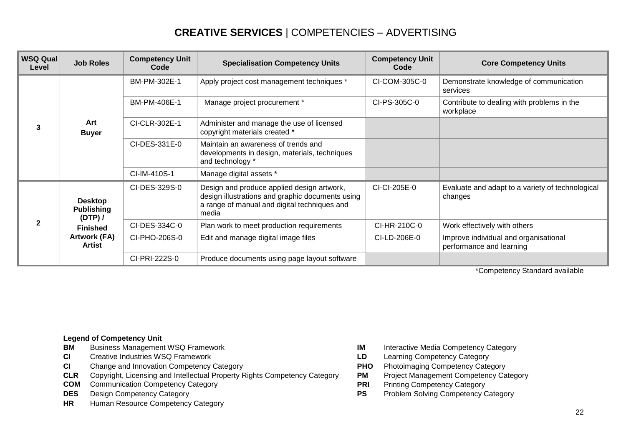| <b>WSQ Qual</b><br>Level | <b>Job Roles</b>                               | <b>Competency Unit</b><br>Code | <b>Specialisation Competency Units</b>                                                                                                                  | <b>Competency Unit</b><br>Code | <b>Core Competency Units</b>                                      |
|--------------------------|------------------------------------------------|--------------------------------|---------------------------------------------------------------------------------------------------------------------------------------------------------|--------------------------------|-------------------------------------------------------------------|
| 3                        | Art<br><b>Buyer</b>                            | BM-PM-302E-1                   | Apply project cost management techniques *                                                                                                              | CI-COM-305C-0                  | Demonstrate knowledge of communication<br>services                |
|                          |                                                | BM-PM-406E-1                   | Manage project procurement *                                                                                                                            | CI-PS-305C-0                   | Contribute to dealing with problems in the<br>workplace           |
|                          |                                                | CI-CLR-302E-1                  | Administer and manage the use of licensed<br>copyright materials created *                                                                              |                                |                                                                   |
|                          |                                                | CI-DES-331E-0                  | Maintain an awareness of trends and<br>developments in design, materials, techniques<br>and technology *                                                |                                |                                                                   |
|                          |                                                | CI-IM-410S-1                   | Manage digital assets *                                                                                                                                 |                                |                                                                   |
|                          | <b>Desktop</b><br><b>Publishing</b><br>(DTP) / | CI-DES-329S-0                  | Design and produce applied design artwork,<br>design illustrations and graphic documents using<br>a range of manual and digital techniques and<br>media | CI-CI-205E-0                   | Evaluate and adapt to a variety of technological<br>changes       |
| $\mathbf{2}$             | <b>Finished</b><br>Artwork (FA)<br>Artist      | CI-DES-334C-0                  | Plan work to meet production requirements                                                                                                               | CI-HR-210C-0                   | Work effectively with others                                      |
|                          |                                                | CI-PHO-206S-0                  | Edit and manage digital image files                                                                                                                     | CI-LD-206E-0                   | Improve individual and organisational<br>performance and learning |
|                          |                                                | CI-PRI-222S-0                  | Produce documents using page layout software                                                                                                            |                                |                                                                   |

\*Competency Standard available

- **BM** Business Management WSQ Framework **IM** Interactive Media Competency Category
- **CI** Creative Industries WSQ Framework **LD** Learning Competency Category
- **CI** Change and Innovation Competency Category **PHO** Photoimaging Competency Category
- **CLR** Copyright, Licensing and Intellectual Property Rights Competency Category **PM** Project Management Competency Category
- **COM** Communication Competency Category<br> **PRI** Printing Competency Category<br> **PRI** Problem Solving Competency Category<br> **PS** Problem Solving Competency (
- 
- **HR** Human Resource Competency Category
- 
- 
- 
- 
- 
- **DES** Design Competency Category **PS** Problem Solving Competency Category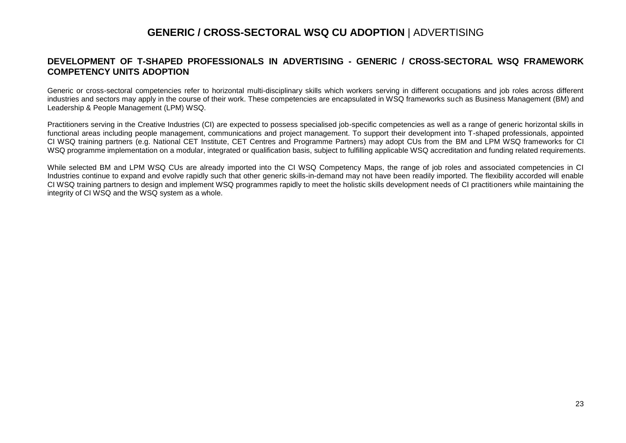### **GENERIC / CROSS-SECTORAL WSQ CU ADOPTION** | ADVERTISING

#### **DEVELOPMENT OF T-SHAPED PROFESSIONALS IN ADVERTISING - GENERIC / CROSS-SECTORAL WSQ FRAMEWORK COMPETENCY UNITS ADOPTION**

Generic or cross-sectoral competencies refer to horizontal multi-disciplinary skills which workers serving in different occupations and job roles across different industries and sectors may apply in the course of their work. These competencies are encapsulated in WSQ frameworks such as Business Management (BM) and Leadership & People Management (LPM) WSQ.

Practitioners serving in the Creative Industries (CI) are expected to possess specialised job-specific competencies as well as a range of generic horizontal skills in functional areas including people management, communications and project management. To support their development into T-shaped professionals, appointed CI WSQ training partners (e.g. National CET Institute, CET Centres and Programme Partners) may adopt CUs from the BM and LPM WSQ frameworks for CI WSQ programme implementation on a modular, integrated or qualification basis, subject to fulfilling applicable WSQ accreditation and funding related requirements.

While selected BM and LPM WSQ CUs are already imported into the CI WSQ Competency Maps, the range of job roles and associated competencies in CI Industries continue to expand and evolve rapidly such that other generic skills-in-demand may not have been readily imported. The flexibility accorded will enable CI WSQ training partners to design and implement WSQ programmes rapidly to meet the holistic skills development needs of CI practitioners while maintaining the integrity of CI WSQ and the WSQ system as a whole.